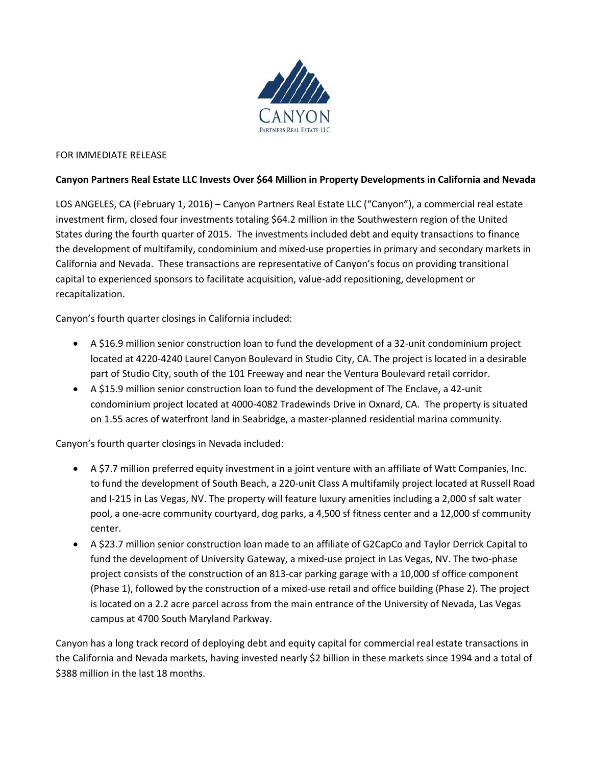

## FOR IMMEDIATE RELEASE

## **Canyon Partners Real Estate LLC Invests Over \$64 Million in Property Developments in California and Nevada**

LOS ANGELES, CA (February 1, 2016) – Canyon Partners Real Estate LLC ("Canyon"), a commercial real estate investment firm, closed four investments totaling \$64.2 million in the Southwestern region of the United States during the fourth quarter of 2015. The investments included debt and equity transactions to finance the development of multifamily, condominium and mixed-use properties in primary and secondary markets in California and Nevada. These transactions are representative of Canyon's focus on providing transitional capital to experienced sponsors to facilitate acquisition, value-add repositioning, development or recapitalization.

Canyon's fourth quarter closings in California included:

- A \$16.9 million senior construction loan to fund the development of a 32-unit condominium project located at 4220-4240 Laurel Canyon Boulevard in Studio City, CA. The project is located in a desirable part of Studio City, south of the 101 Freeway and near the Ventura Boulevard retail corridor.
- A \$15.9 million senior construction loan to fund the development of The Enclave, a 42-unit condominium project located at 4000-4082 Tradewinds Drive in Oxnard, CA. The property is situated on 1.55 acres of waterfront land in Seabridge, a master-planned residential marina community.

Canyon's fourth quarter closings in Nevada included:

- A \$7.7 million preferred equity investment in a joint venture with an affiliate of Watt Companies, Inc. to fund the development of South Beach, a 220-unit Class A multifamily project located at Russell Road and I-215 in Las Vegas, NV. The property will feature luxury amenities including a 2,000 sf salt water pool, a one-acre community courtyard, dog parks, a 4,500 sf fitness center and a 12,000 sf community center.
- A \$23.7 million senior construction loan made to an affiliate of G2CapCo and Taylor Derrick Capital to fund the development of University Gateway, a mixed-use project in Las Vegas, NV. The two-phase project consists of the construction of an 813-car parking garage with a 10,000 sf office component (Phase 1), followed by the construction of a mixed-use retail and office building (Phase 2). The project is located on a 2.2 acre parcel across from the main entrance of the University of Nevada, Las Vegas campus at 4700 South Maryland Parkway.

Canyon has a long track record of deploying debt and equity capital for commercial real estate transactions in the California and Nevada markets, having invested nearly \$2 billion in these markets since 1994 and a total of \$388 million in the last 18 months.